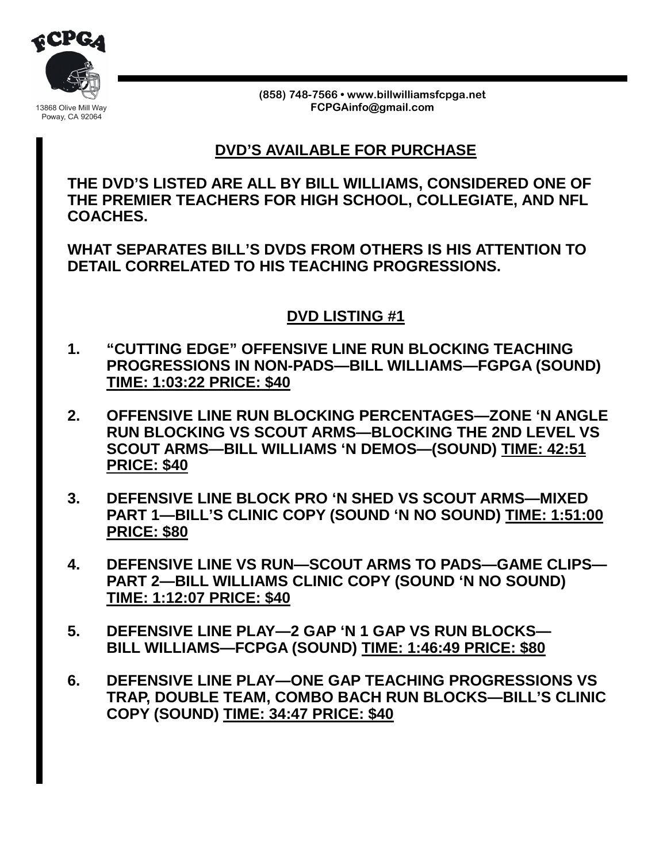

**(858) 748-7566 • www.billwilliamsfcpga.net FCPGAinfo@gmail.com** 

## **DVD'S AVAILABLE FOR PURCHASE**

**THE DVD'S LISTED ARE ALL BY BILL WILLIAMS, CONSIDERED ONE OF THE PREMIER TEACHERS FOR HIGH SCHOOL, COLLEGIATE, AND NFL COACHES.**

**WHAT SEPARATES BILL'S DVDS FROM OTHERS IS HIS ATTENTION TO DETAIL CORRELATED TO HIS TEACHING PROGRESSIONS.**

## **DVD LISTING #1**

- **1. "CUTTING EDGE" OFFENSIVE LINE RUN BLOCKING TEACHING PROGRESSIONS IN NON-PADS—BILL WILLIAMS—FGPGA (SOUND) TIME: 1:03:22 PRICE: \$40**
- **2. OFFENSIVE LINE RUN BLOCKING PERCENTAGES—ZONE 'N ANGLE RUN BLOCKING VS SCOUT ARMS—BLOCKING THE 2ND LEVEL VS SCOUT ARMS—BILL WILLIAMS 'N DEMOS—(SOUND) TIME: 42:51 PRICE: \$40**
- **3. DEFENSIVE LINE BLOCK PRO 'N SHED VS SCOUT ARMS—MIXED PART 1—BILL'S CLINIC COPY (SOUND 'N NO SOUND) TIME: 1:51:00 PRICE: \$80**
- **4. DEFENSIVE LINE VS RUN—SCOUT ARMS TO PADS—GAME CLIPS— PART 2—BILL WILLIAMS CLINIC COPY (SOUND 'N NO SOUND) TIME: 1:12:07 PRICE: \$40**
- **5. DEFENSIVE LINE PLAY—2 GAP 'N 1 GAP VS RUN BLOCKS— BILL WILLIAMS—FCPGA (SOUND) TIME: 1:46:49 PRICE: \$80**
- **6. DEFENSIVE LINE PLAY—ONE GAP TEACHING PROGRESSIONS VS TRAP, DOUBLE TEAM, COMBO BACH RUN BLOCKS—BILL'S CLINIC COPY (SOUND) TIME: 34:47 PRICE: \$40**